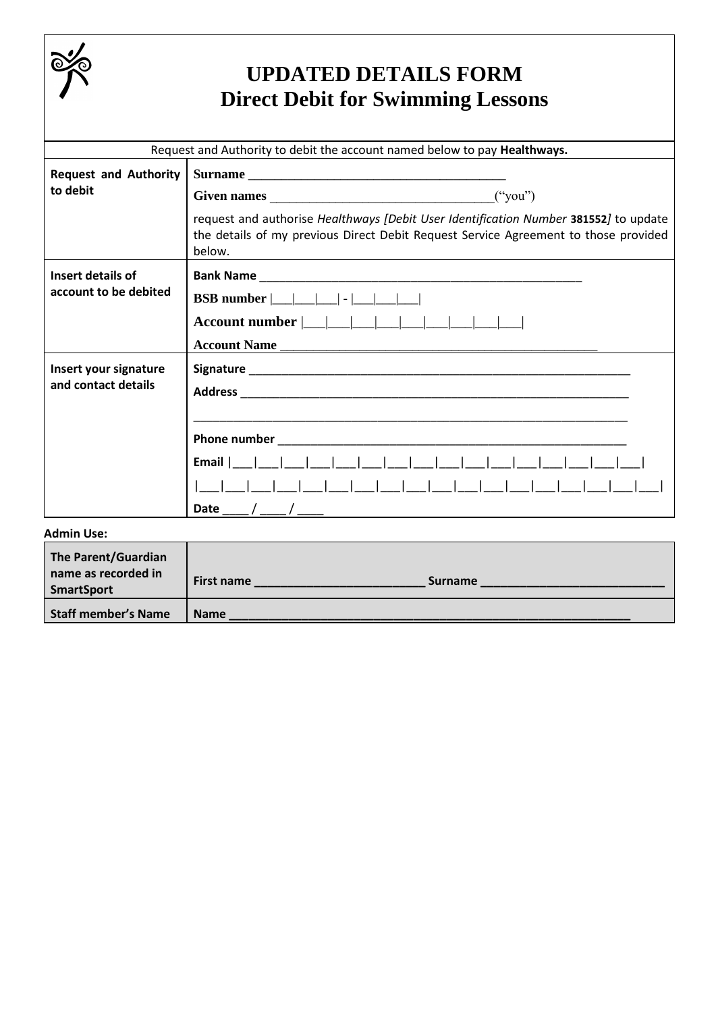

## **UPDATED DETAILS FORM Direct Debit for Swimming Lessons**

| Request and Authority to debit the account named below to pay Healthways. |                                                                                                                                                                                       |  |  |  |
|---------------------------------------------------------------------------|---------------------------------------------------------------------------------------------------------------------------------------------------------------------------------------|--|--|--|
| <b>Request and Authority</b><br>to debit                                  | request and authorise Healthways [Debit User Identification Number 381552] to update<br>the details of my previous Direct Debit Request Service Agreement to those provided<br>below. |  |  |  |
| Insert details of<br>account to be debited                                | Account Name                                                                                                                                                                          |  |  |  |
| Insert your signature<br>and contact details                              | Date ___ / ___ / ___                                                                                                                                                                  |  |  |  |
| <b>Admin Use:</b>                                                         |                                                                                                                                                                                       |  |  |  |
| <b>The Parent/Guardian</b><br>مزا اممامیمممیر ممیمه                       |                                                                                                                                                                                       |  |  |  |

| The Parent/Guardian<br>name as recorded in<br><b>SmartSport</b> | <b>First name</b><br><b>Surname</b> |
|-----------------------------------------------------------------|-------------------------------------|
| <b>Staff member's Name</b>                                      | <b>Name</b>                         |